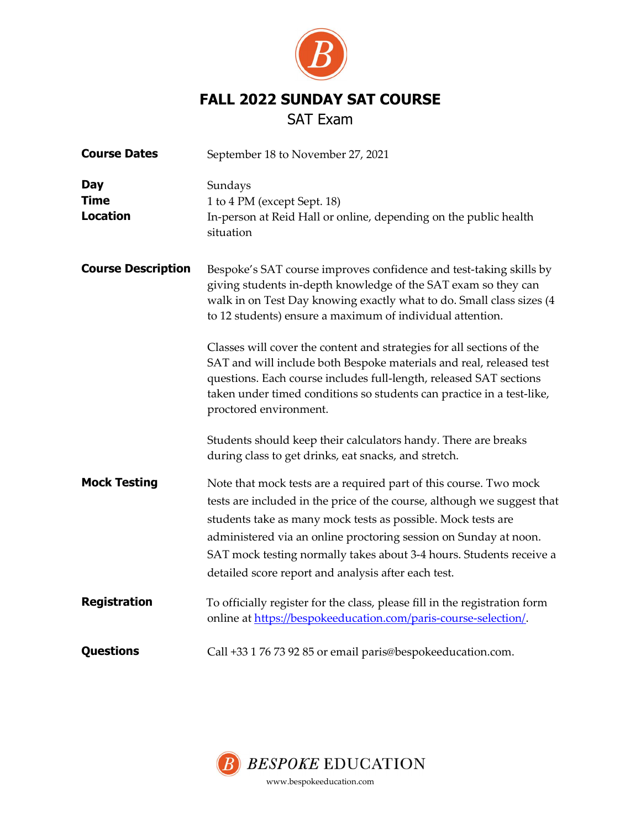

# FALL 2022 SUNDAY SAT COURSE

## SAT Exam

| <b>Course Dates</b>                          | September 18 to November 27, 2021                                                                                                                                                                                                                                                                                                                                                                                                                                                                                                                                                                  |  |  |
|----------------------------------------------|----------------------------------------------------------------------------------------------------------------------------------------------------------------------------------------------------------------------------------------------------------------------------------------------------------------------------------------------------------------------------------------------------------------------------------------------------------------------------------------------------------------------------------------------------------------------------------------------------|--|--|
| <b>Day</b><br><b>Time</b><br><b>Location</b> | Sundays<br>1 to 4 PM (except Sept. 18)<br>In-person at Reid Hall or online, depending on the public health<br>situation                                                                                                                                                                                                                                                                                                                                                                                                                                                                            |  |  |
| <b>Course Description</b>                    | Bespoke's SAT course improves confidence and test-taking skills by<br>giving students in-depth knowledge of the SAT exam so they can<br>walk in on Test Day knowing exactly what to do. Small class sizes (4<br>to 12 students) ensure a maximum of individual attention.<br>Classes will cover the content and strategies for all sections of the<br>SAT and will include both Bespoke materials and real, released test<br>questions. Each course includes full-length, released SAT sections<br>taken under timed conditions so students can practice in a test-like,<br>proctored environment. |  |  |
|                                              | Students should keep their calculators handy. There are breaks<br>during class to get drinks, eat snacks, and stretch.                                                                                                                                                                                                                                                                                                                                                                                                                                                                             |  |  |
| <b>Mock Testing</b>                          | Note that mock tests are a required part of this course. Two mock<br>tests are included in the price of the course, although we suggest that<br>students take as many mock tests as possible. Mock tests are<br>administered via an online proctoring session on Sunday at noon.<br>SAT mock testing normally takes about 3-4 hours. Students receive a<br>detailed score report and analysis after each test.                                                                                                                                                                                     |  |  |
| <b>Registration</b>                          | To officially register for the class, please fill in the registration form<br>online at https://bespokeeducation.com/paris-course-selection/.                                                                                                                                                                                                                                                                                                                                                                                                                                                      |  |  |
| <b>Questions</b>                             | Call +33 1 76 73 92 85 or email paris@bespokeeducation.com.                                                                                                                                                                                                                                                                                                                                                                                                                                                                                                                                        |  |  |